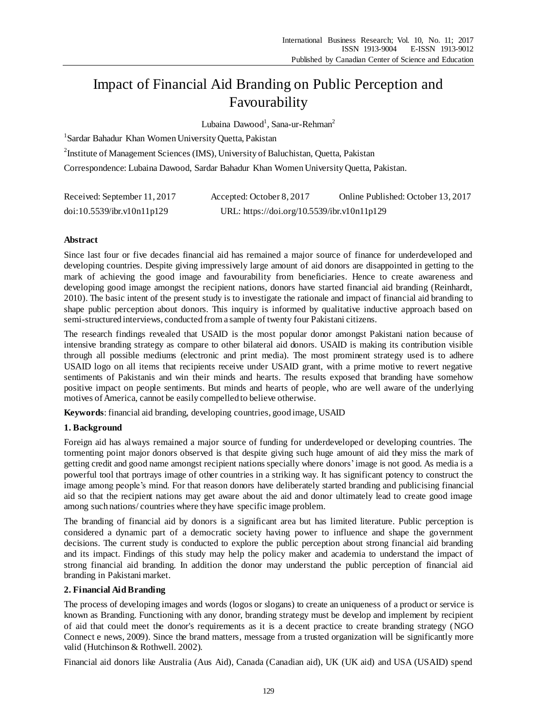# Impact of Financial Aid Branding on Public Perception and Favourability

Lubaina Dawood<sup>1</sup>, Sana-ur-Rehman<sup>2</sup>

<sup>1</sup>Sardar Bahadur Khan Women University Quetta, Pakistan

<sup>2</sup>Institute of Management Sciences (IMS), University of Baluchistan, Quetta, Pakistan

Correspondence: Lubaina Dawood, Sardar Bahadur Khan Women University Quetta, Pakistan.

| Received: September 11, 2017 | Accepted: October 8, 2017                   | Online Published: October 13, 2017 |
|------------------------------|---------------------------------------------|------------------------------------|
| doi:10.5539/ibr.v10n11p129   | URL: https://doi.org/10.5539/ibr.v10n11p129 |                                    |

# **Abstract**

Since last four or five decades financial aid has remained a major source of finance for underdeveloped and developing countries. Despite giving impressively large amount of aid donors are disappointed in getting to the mark of achieving the good image and favourability from beneficiaries. Hence to create awareness and developing good image amongst the recipient nations, donors have started financial aid branding (Reinhardt, 2010). The basic intent of the present study is to investigate the rationale and impact of financial aid branding to shape public perception about donors. This inquiry is informed by qualitative inductive approach based on semi-structured interviews, conducted from a sample of twenty four Pakistani citizens.

The research findings revealed that USAID is the most popular donor amongst Pakistani nation because of intensive branding strategy as compare to other bilateral aid donors. USAID is making its contribution visible through all possible mediums (electronic and print media). The most prominent strategy used is to adhere USAID logo on all items that recipients receive under USAID grant, with a prime motive to revert negative sentiments of Pakistanis and win their minds and hearts. The results exposed that branding have somehow positive impact on people sentiments. But minds and hearts of people, who are well aware of the underlying motives of America, cannot be easily compelled to believe otherwise.

**Keywords**: financial aid branding, developing countries, good image, USAID

# **1. Background**

Foreign aid has always remained a major source of funding for underdeveloped or developing countries. The tormenting point major donors observed is that despite giving such huge amount of aid they miss the mark of getting credit and good name amongst recipient nations specially where donors'image is not good. As media is a powerful tool that portrays image of other countries in a striking way. It has significant potency to construct the image among people's mind. For that reason donors have deliberately started branding and publicising financial aid so that the recipient nations may get aware about the aid and donor ultimately lead to create good image among such nations/ countries where they have specific image problem.

The branding of financial aid by donors is a significant area but has limited literature. Public perception is considered a dynamic part of a democratic society having power to influence and shape the government decisions. The current study is conducted to explore the public perception about strong financial aid branding and its impact. Findings of this study may help the policy maker and academia to understand the impact of strong financial aid branding. In addition the donor may understand the public perception of financial aid branding in Pakistani market.

# **2. Financial Aid Branding**

The process of developing images and words (logos or slogans) to create an uniqueness of a product or service is known as Branding. Functioning with any donor, branding strategy must be develop and implement by recipient of aid that could meet the donor's requirements as it is a decent practice to create branding strategy (NGO Connect e news, 2009). Since the brand matters, message from a trusted organization will be significantly more valid (Hutchinson & Rothwell. 2002).

Financial aid donors like Australia (Aus Aid), Canada (Canadian aid), UK (UK aid) and USA (USAID) spend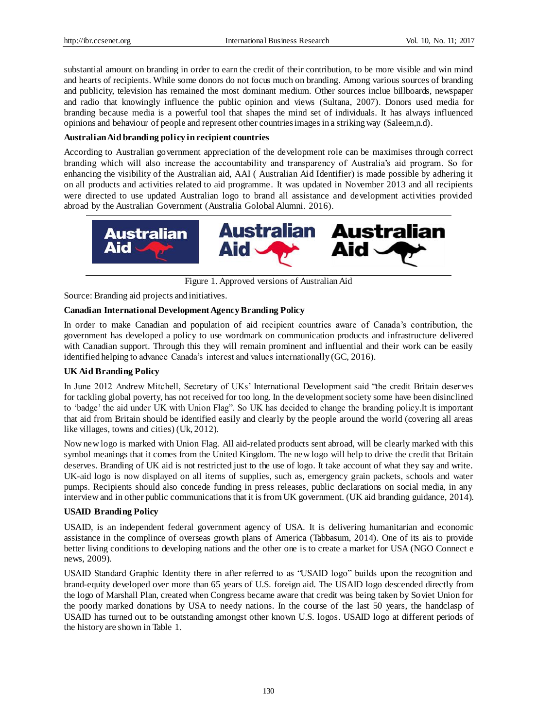substantial amount on branding in order to earn the credit of their contribution, to be more visible and win mind and hearts of recipients. While some donors do not focus much on branding. Among various sources of branding and publicity, television has remained the most dominant medium. Other sources inclue billboards, newspaper and radio that knowingly influence the public opinion and views (Sultana, 2007). Donors used media for branding because media is a powerful tool that shapes the mind set of individuals. It has always influenced opinions and behaviour of people and represent other countries images in a striking way (Saleem,n.d).

# **Australian Aid branding policy in recipient countries**

According to Australian government appreciation of the development role can be maximises through correct branding which will also increase the accountability and transparency of Australia's aid program. So for enhancing the visibility of the Australian aid, AAI ( Australian Aid Identifier) is made possible by adhering it on all products and activities related to aid programme. It was updated in November 2013 and all recipients were directed to use updated Australian logo to brand all assistance and development activities provided abroad by the Australian Government (Australia Golobal Alumni. 2016).



Figure 1. Approved versions of Australian Aid

Source: Branding aid projects and initiatives.

# **Canadian International Development Agency Branding Policy**

In order to make Canadian and population of aid recipient countries aware of Canada's contribution, the government has developed a policy to use wordmark on communication products and infrastructure delivered with Canadian support. Through this they will remain prominent and influential and their work can be easily identified helping to advance Canada's interest and values internationally (GC, 2016).

# **UK Aid Branding Policy**

In June 2012 Andrew Mitchell, Secretary of UKs' International Development said "the credit Britain deserves for tackling global poverty, has not received for too long. In the development society some have been disinclined to 'badge' the aid under UK with Union Flag". So UK has decided to change the branding policy.It is important that aid from Britain should be identified easily and clearly by the people around the world (covering all areas like villages, towns and cities) (Uk, 2012).

Now new logo is marked with Union Flag. All aid-related products sent abroad, will be clearly marked with this symbol meanings that it comes from the United Kingdom. The new logo will help to drive the credit that Britain deserves. Branding of UK aid is not restricted just to the use of logo. It take account of what they say and write. UK-aid logo is now displayed on all items of supplies, such as, emergency grain packets, schools and water pumps. Recipients should also concede funding in press releases, public declarations on social media, in any interview and in other public communications that it is from UK government. (UK aid branding guidance, 2014).

## **USAID Branding Policy**

USAID, is an independent federal government agency of USA. It is delivering humanitarian and economic assistance in the complince of overseas growth plans of America (Tabbasum, 2014). One of its ais to provide better living conditions to developing nations and the other one is to create a market for USA (NGO Connect e news, 2009).

USAID Standard Graphic Identity there in after referred to as "USAID logo" builds upon the recognition and brand-equity developed over more than 65 years of U.S. foreign aid. The USAID logo descended directly from the logo of Marshall Plan, created when Congress became aware that credit was being taken by Soviet Union for the poorly marked donations by USA to needy nations. In the course of the last 50 years, the handclasp of USAID has turned out to be outstanding amongst other known U.S. logos. USAID logo at different periods of the history are shown in Table 1.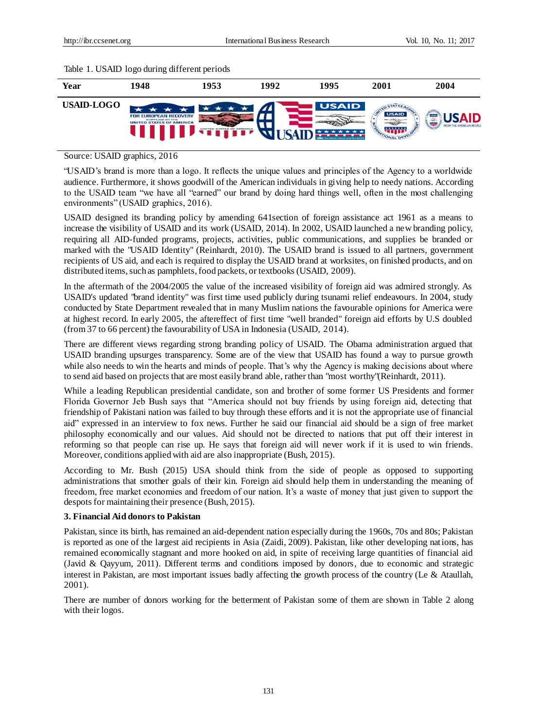



Source: USAID graphics, 2016

"USAID's brand is more than a logo. It reflects the unique values and principles of the Agency to a worldwide audience. Furthermore, it shows goodwill of the American individuals in giving help to needy nations. According to the USAID team "we have all "earned" our brand by doing hard things well, often in the most challenging environments" (USAID graphics, 2016).

USAID designed its branding policy by amending 641section of foreign assistance act 1961 as a means to increase the visibility of USAID and its work (USAID, 2014). In 2002, USAID launched a new branding policy, requiring all AID-funded programs, projects, activities, public communications, and supplies be branded or marked with the "USAID Identity" (Reinhardt, 2010). The USAID brand is issued to all partners, government recipients of US aid, and each is required to display the USAID brand at worksites, on finished products, and on distributed items, such as pamphlets, food packets, or textbooks (USAID, 2009).

In the aftermath of the 2004/2005 the value of the increased visibility of foreign aid was admired strongly. As USAID's updated "brand identity" was first time used publicly during tsunami relief endeavours. In 2004, study conducted by State Department revealed that in many Muslim nations the favourable opinions for America were at highest record. In early 2005, the aftereffect of first time "well branded" foreign aid efforts by U.S doubled (from 37 to 66 percent) the favourability of USA in Indonesia (USAID, 2014).

There are different views regarding strong branding policy of USAID. The Obama administration argued that USAID branding upsurges transparency. Some are of the view that USAID has found a way to pursue growth while also needs to win the hearts and minds of people. That's why the Agency is making decisions about where to send aid based on projects that are most easily brand able, rather than "most worthy"(Reinhardt, 2011).

While a leading Republican presidential candidate, son and brother of some former US Presidents and former Florida Governor Jeb Bush says that "America should not buy friends by using foreign aid, detecting that friendship of Pakistani nation was failed to buy through these efforts and it is not the appropriate use of financial aid" expressed in an interview to fox news. Further he said our financial aid should be a sign of free market philosophy economically and our values. Aid should not be directed to nations that put off their interest in reforming so that people can rise up. He says that foreign aid will never work if it is used to win friends. Moreover, conditions applied with aid are also inappropriate (Bush, 2015).

According to Mr. Bush (2015) USA should think from the side of people as opposed to supporting administrations that smother goals of their kin. Foreign aid should help them in understanding the meaning of freedom, free market economies and freedom of our nation. It's a waste of money that just given to support the despots for maintaining their presence (Bush, 2015).

## **3. Financial Aid donors to Pakistan**

Pakistan, since its birth, has remained an aid-dependent nation especially during the 1960s, 70s and 80s; Pakistan is reported as one of the largest aid recipients in Asia (Zaidi, 2009). Pakistan, like other developing nations, has remained economically stagnant and more hooked on aid, in spite of receiving large quantities of financial aid (Javid & Qayyum, 2011). Different terms and conditions imposed by donors, due to economic and strategic interest in Pakistan, are most important issues badly affecting the growth process of the country (Le & Ataullah, 2001).

There are number of donors working for the betterment of Pakistan some of them are shown in Table 2 along with their logos.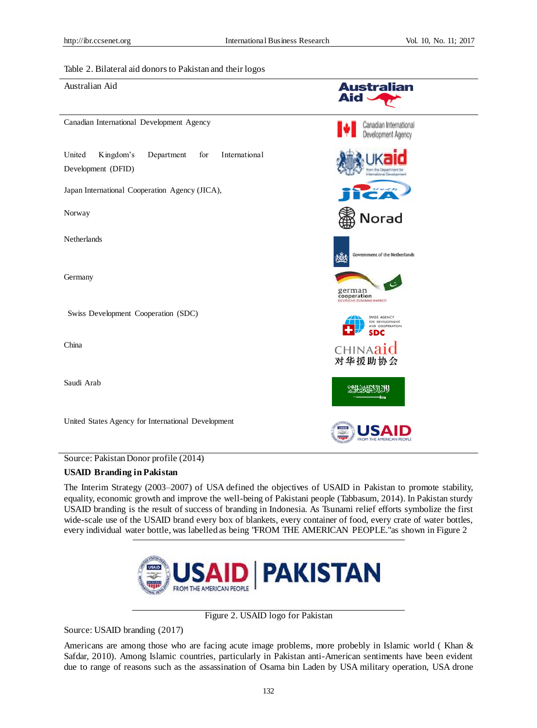#### Table 2. Bilateral aid donors to Pakistan and their logos

Australian Aid

Canadian International Development Agency

United Kingdom's Department for International Development (DFID)

Japan International Cooperation Agency (JICA),

Norway

Netherlands

Germany

Swiss Development Cooperation (SDC)

China

Saudi Arab

United States Agency for International Development

Source: Pakistan Donor profile (2014)

#### **USAID Branding in Pakistan**

The Interim Strategy (2003–2007) of USA defined the objectives of USAID in Pakistan to promote stability, equality, economic growth and improve the well-being of Pakistani people (Tabbasum, 2014). In Pakistan sturdy USAID branding is the result of success of branding in Indonesia. As Tsunami relief efforts symbolize the first wide-scale use of the USAID brand every box of blankets, every container of food, every crate of water bottles, every individual water bottle, was labelled as being "FROM THE AMERICAN PEOPLE."as shown in Figure 2



Figure 2. USAID logo for Pakistan

Source: [USAID](file:///F:/MS/MS-FT-Proposal/A.%20Final%20Thesis/chap%20of%20thesis/final%20thesis/thesis%20for%20submission/review/USAID) branding (2017)

Americans are among those who are facing acute image problems, more probebly in Islamic world ( Khan & Safdar, 2010). Among Islamic countries, particularly in Pakistan anti-American sentiments have been evident due to range of reasons such as the assassination of Osama bin Laden by USA military operation, USA drone



**Australian** 

Canadian International Development Agency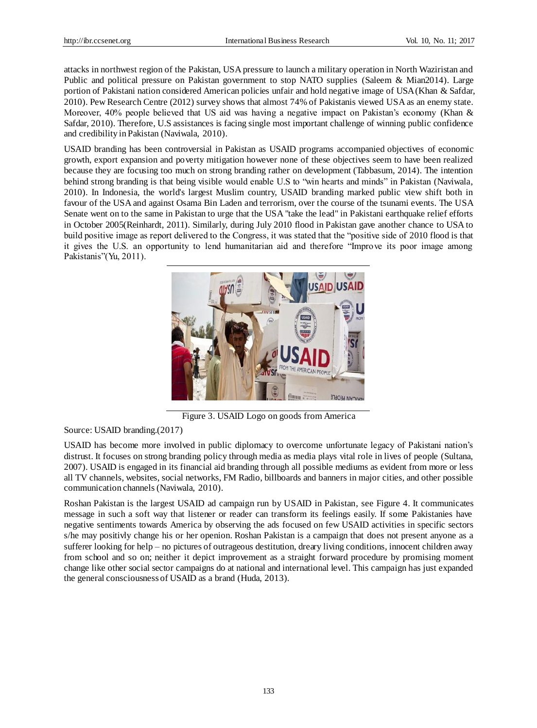attacks in northwest region of the Pakistan, USA pressure to launch a military operation in North Waziristan and Public and political pressure on Pakistan government to stop NATO supplies (Saleem & Mian2014). Large portion of Pakistani nation considered American policies unfair and hold negative image of USA (Khan & Safdar, 2010). Pew Research Centre (2012) survey shows that almost 74% of Pakistanis viewed USA as an enemy state. Moreover, 40% people believed that US aid was having a negative impact on Pakistan's economy (Khan & Safdar, 2010). Therefore, U.S assistances is facing single most important challenge of winning public confidence and credibility in Pakistan (Naviwala, 2010).

USAID branding has been controversial in Pakistan as USAID programs accompanied objectives of economic growth, export expansion and poverty mitigation however none of these objectives seem to have been realized because they are focusing too much on strong branding rather on development (Tabbasum, 2014). The intention behind strong branding is that being visible would enable U.S to "win hearts and minds" in Pakistan (Naviwala, 2010). In Indonesia, the world's largest Muslim country, USAID branding marked public view shift both in favour of the USA and against Osama Bin Laden and terrorism, over the course of the tsunami events. The USA Senate went on to the same in Pakistan to urge that the USA "take the lead" in Pakistani earthquake relief efforts in October 2005(Reinhardt, 2011). Similarly, during July 2010 flood in Pakistan gave another chance to USA to build positive image as report delivered to the Congress, it was stated that the "positive side of 2010 flood is that it gives the U.S. an opportunity to lend humanitarian aid and therefore "Improve its poor image among Pakistanis"(Yu, 2011).



Figure 3. USAID Logo on goods from America

Source[: USAID](file:///F:/MS/MS-FT-Proposal/A.%20Final%20Thesis/chap%20of%20thesis/final%20thesis/thesis%20for%20submission/review/USAID) branding.(2017)

USAID has become more involved in public diplomacy to overcome unfortunate legacy of Pakistani nation's distrust. It focuses on strong branding policy through media as media plays vital role in lives of people (Sultana, 2007). USAID is engaged in its financial aid branding through all possible mediums as evident from more or less all TV channels, websites, social networks, FM Radio, billboards and banners in major cities, and other possible communication channels (Naviwala, 2010).

Roshan Pakistan is the largest USAID ad campaign run by USAID in Pakistan, see Figure 4. It communicates message in such a soft way that listener or reader can transform its feelings easily. If some Pakistanies have negative sentiments towards America by observing the ads focused on few USAID activities in specific sectors s/he may positivly change his or her openion. Roshan Pakistan is a campaign that does not present anyone as a sufferer looking for help – no pictures of outrageous destitution, dreary living conditions, innocent children away from school and so on; neither it depict improvement as a straight forward procedure by promising moment change like other social sector campaigns do at national and international level. This campaign has just expanded the general consciousness of USAID as a brand (Huda, 2013).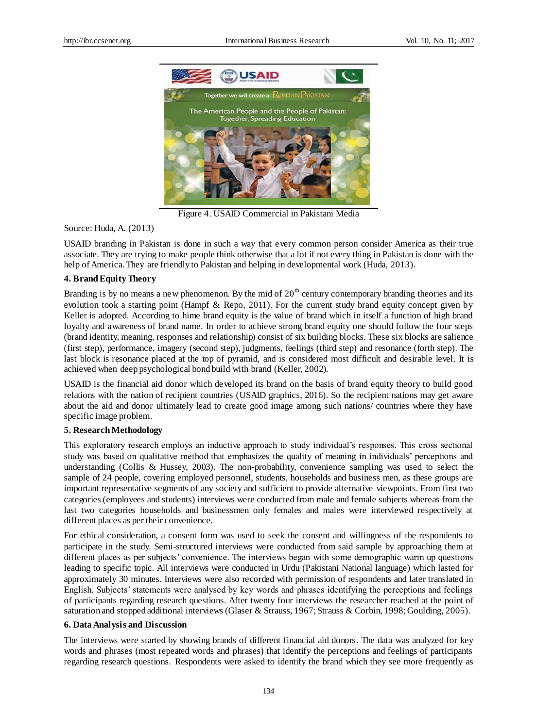

Figure 4. USAID Commercial in Pakistani Media

Source: Huda, A. (2013)

USAID branding in Pakistan is done in such a way that every common person consider America as their true associate. They are trying to make people think otherwise that a lot if not every thing in Pakistan is done with the help of America. They are friendly to Pakistan and helping in developmental work (Huda, 2013).

## **4. Brand Equity Theory**

Branding is by no means a new phenomenon. By the mid of  $20<sup>th</sup>$  century contemporary branding theories and its evolution took a starting point (Hampf & Repo, 2011). For the current study brand equity concept given by Keller is adopted. According to hime brand equity is the value of brand which in itself a function of high brand loyalty and awareness of brand name. In order to achieve strong brand equity one should follow the four steps (brand identity, meaning, responses and relationship) consist of six building blocks. These six blocks are salience (first step), performance, imagery (second step), judgments, feelings (third step) and resonance (forth step). The last block is resonance placed at the top of pyramid, and is considered most difficult and desirable level. It is achieved when deep psychological bond build with brand (Keller, 2002).

USAID is the financial aid donor which developed its brand on the basis of brand equity theory to build good relations with the nation of recipient countries (USAID graphics, 2016). So the recipient nations may get aware about the aid and donor ultimately lead to create good image among such nations/ countries where they have specific image problem.

## **5. Research Methodology**

This exploratory research employs an inductive approach to study individual's responses. This cross sectional study was based on qualitative method that emphasizes the quality of meaning in individuals' perceptions and understanding (Collis & Hussey, 2003). The non-probability, convenience sampling was used to select the sample of 24 people, covering employed personnel, students, households and business men, as these groups are important representative segments of any society and sufficient to provide alternative viewpoints. From first two categories (employees and students) interviews were conducted from male and female subjects whereas from the last two categories households and businessmen only females and males were interviewed respectively at different places as per their convenience.

For ethical consideration, a consent form was used to seek the consent and willingness of the respondents to participate in the study. Semi-structured interviews were conducted from said sample by approaching them at different places as per subjects' convenience. The interviews began with some demographic warm up questions leading to specific topic. All interviews were conducted in Urdu (Pakistani National language) which lasted for approximately 30 minutes. Interviews were also recorded with permission of respondents and later translated in English. Subjects' statements were analysed by key words and phrases identifying the perceptions and feelings of participants regarding research questions. After twenty four interviews the researcher reached at the point of saturation and stopped additional interviews (Glaser & Strauss, 1967; Strauss & Corbin, 1998; Goulding, 2005).

#### **6. Data Analysis and Discussion**

The interviews were started by showing brands of different financial aid donors. The data was analyzed for key words and phrases (most repeated words and phrases) that identify the perceptions and feelings of participants regarding research questions. Respondents were asked to identify the brand which they see more frequently as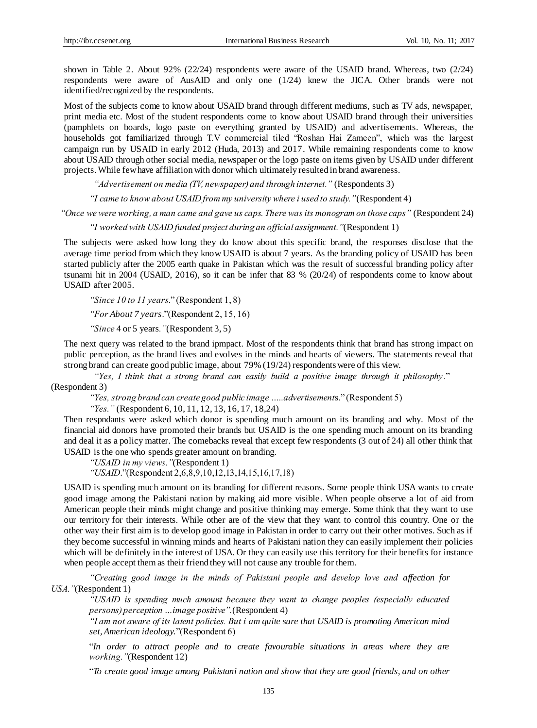shown in Table 2. About 92% (22/24) respondents were aware of the USAID brand. Whereas, two (2/24) respondents were aware of AusAID and only one (1/24) knew the JICA. Other brands were not identified/recognized by the respondents.

Most of the subjects come to know about USAID brand through different mediums, such as TV ads, newspaper, print media etc. Most of the student respondents come to know about USAID brand through their universities (pamphlets on boards, logo paste on everything granted by USAID) and advertisements. Whereas, the households got familiarized through T.V commercial tiled "Roshan Hai Zameen", which was the largest campaign run by USAID in early 2012 (Huda, 2013) and 2017. While remaining respondents come to know about USAID through other social media, newspaper or the logo paste on items given by USAID under different projects. While few have affiliation with donor which ultimately resulted in brand awareness.

*"Advertisement on media (TV, newspaper) and through internet."* (Respondents 3)

*"I came to know about USAID from my university where i used to study."*(Respondent 4)

*"Once we were working, a man came and gave us caps. There was its monogram on those caps"* (Respondent 24)

*"I worked with USAID funded project during an official assignment."*(Respondent 1)

The subjects were asked how long they do know about this specific brand, the responses disclose that the average time period from which they know USAID is about 7 years. As the branding policy of USAID has been started publicly after the 2005 earth quake in Pakistan which was the result of successful branding policy after tsunami hit in 2004 (USAID, 2016), so it can be infer that 83 % (20/24) of respondents come to know about USAID after 2005.

*"Since 10 to 11 years*." (Respondent 1, 8)

*"For About 7 years*."(Respondent 2, 15, 16)

*"Since* 4 or 5 years*."*(Respondent 3, 5)

The next query was related to the brand ipmpact. Most of the respondents think that brand has strong impact on public perception, as the brand lives and evolves in the minds and hearts of viewers. The statements reveal that strong brand can create good public image, about 79% (19/24) respondents were of this view.

*"Yes, I think that a strong brand can easily build a positive image through it philosophy* ." (Respondent 3)

*"Yes, strong brand can create good public image …..advertisement*s." (Respondent 5)

*"Yes."* (Respondent 6, 10, 11, 12, 13, 16, 17, 18,24)

Then respndants were asked which donor is spending much amount on its branding and why. Most of the financial aid donors have promoted their brands but USAID is the one spending much amount on its branding and deal it as a policy matter. The comebacks reveal that except few respondents (3 out of 24) all other think that USAID is the one who spends greater amount on branding.

*"USAID in my views."*(Respondent 1)

*"USAID*."(Respondent 2,6,8,9,10,12,13,14,15,16,17,18)

USAID is spending much amount on its branding for different reasons. Some people think USA wants to create good image among the Pakistani nation by making aid more visible. When people observe a lot of aid from American people their minds might change and positive thinking may emerge. Some think that they want to use our territory for their interests. While other are of the view that they want to control this country. One or the other way their first aim is to develop good image in Pakistan in order to carry out their other motives. Such as if they become successful in winning minds and hearts of Pakistani nation they can easily implement their policies which will be definitely in the interest of USA. Or they can easily use this territory for their benefits for instance when people accept them as their friend they will not cause any trouble for them.

*"Creating good image in the minds of Pakistani people and develop love and affection for USA."*(Respondent 1)

*"USAID is spending much amount because they want to change peoples (especially educated persons) perception …image positive".*(Respondent 4)

*"I am not aware of its latent policies. But i am quite sure that USAID is promoting American mind set, American ideology.*"(Respondent 6)

"*In order to attract people and to create favourable situations in areas where they are working."*(Respondent 12)

"*To create good image among Pakistani nation and show that they are good friends, and on other*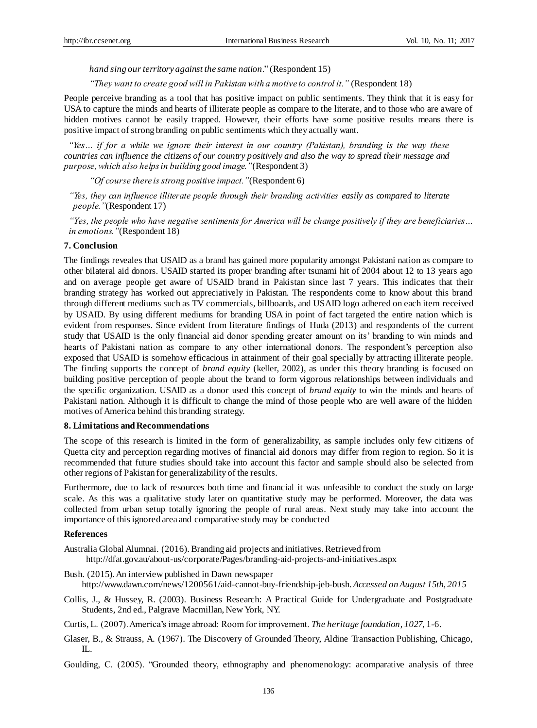*hand sing our territory against the same nation*." (Respondent 15)

*"They want to create good will in Pakistan with a motive to control it."* (Respondent 18)

People perceive branding as a tool that has positive impact on public sentiments. They think that it is easy for USA to capture the minds and hearts of illiterate people as compare to the literate, and to those who are aware of hidden motives cannot be easily trapped. However, their efforts have some positive results means there is positive impact of strong branding on public sentiments which they actually want.

*"Yes… if for a while we ignore their interest in our country (Pakistan), branding is the way these countries can influence the citizens of our country positively and also the way to spread their message and purpose, which also helps in building good image."*(Respondent 3)

*"Of course there is strong positive impact."*(Respondent 6)

*"Yes, they can influence illiterate people through their branding activities easily as compared to literate people."*(Respondent 17)

*"Yes, the people who have negative sentiments for America will be change positively if they are beneficiaries… in emotions."*(Respondent 18)

### **7. Conclusion**

The findings reveales that USAID as a brand has gained more popularity amongst Pakistani nation as compare to other bilateral aid donors. USAID started its proper branding after tsunami hit of 2004 about 12 to 13 years ago and on average people get aware of USAID brand in Pakistan since last 7 years. This indicates that their branding strategy has worked out appreciatively in Pakistan. The respondents come to know about this brand through different mediums such as TV commercials, billboards, and USAID logo adhered on each item received by USAID. By using different mediums for branding USA in point of fact targeted the entire nation which is evident from responses. Since evident from literature findings of Huda (2013) and respondents of the current study that USAID is the only financial aid donor spending greater amount on its' branding to win minds and hearts of Pakistani nation as compare to any other international donors. The respondent's perception also exposed that USAID is somehow efficacious in attainment of their goal specially by attracting illiterate people. The finding supports the concept of *brand equity* (keller, 2002), as under this theory branding is focused on building positive perception of people about the brand to form vigorous relationships between individuals and the specific organization. USAID as a donor used this concept of *brand equity* to win the minds and hearts of Pakistani nation. Although it is difficult to change the mind of those people who are well aware of the hidden motives of America behind this branding strategy.

#### **8. Limitations and Recommendations**

The scope of this research is limited in the form of generalizability, as sample includes only few citizens of Quetta city and perception regarding motives of financial aid donors may differ from region to region. So it is recommended that future studies should take into account this factor and sample should also be selected from other regions of Pakistan for generalizability of the results.

Furthermore, due to lack of resources both time and financial it was unfeasible to conduct the study on large scale. As this was a qualitative study later on quantitative study may be performed. Moreover, the data was collected from urban setup totally ignoring the people of rural areas. Next study may take into account the importance of this ignored area and comparative study may be conducted

## **References**

Australia Global Alumnai. (2016). Branding aid projects and initiatives. Retrieved from <http://dfat.gov.au/about-us/corporate/Pages/branding-aid-projects-and-initiatives.aspx>

- Bush. (2015). An interview published in Dawn newspaper [http://www.dawn.com/news/1200561/aid-cannot-buy-friendship-jeb-bush.](http://www.dawn.com/news/1200561/aid-cannot-buy-friendship-jeb-bush) *Accessed on August 15th, 2015*
- Collis, J., & Hussey, R. (2003). Business Research: A Practical Guide for Undergraduate and Postgraduate Students, 2nd ed., Palgrave Macmillan, New York, NY.

Curtis, L. (2007). America's image abroad: Room for improvement. *The heritage foundation*, *1027,* 1-6.

Glaser, B., & Strauss, A. (1967). The Discovery of Grounded Theory, Aldine Transaction Publishing, Chicago,  $\Pi$ .

Goulding, C. (2005). "Grounded theory, ethnography and phenomenology: acomparative analysis of three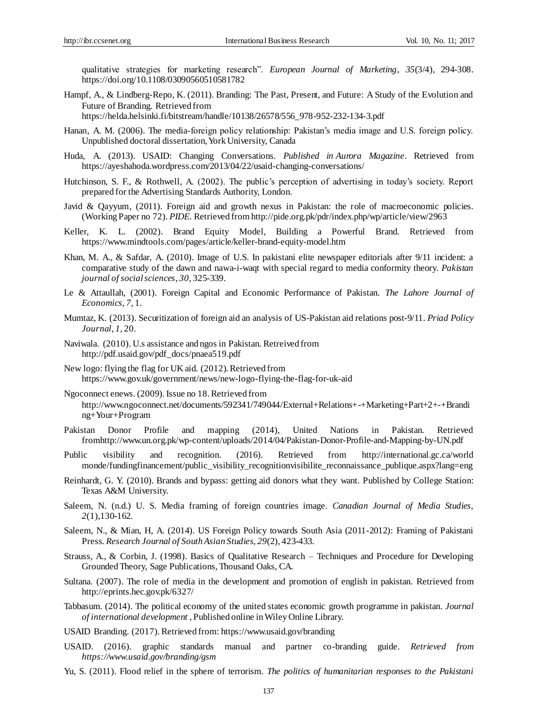qualitative strategies for marketing research". *European Journal of Marketing*, *35*(3/4), 294-308. https://doi.org/10.1108/03090560510581782

Hampf, A., & Lindberg-Repo, K. (2011). Branding: The Past, Present, and Future: A Study of the Evolution and Future of Branding*.* Retrieved from

[https://helda.helsinki.fi/bitstream/handle/10138/26578/556\\_978-952-232-134-3.pdf](https://helda.helsinki.fi/bitstream/handle/10138/26578/556_978-952-232-134-3.pdf)

- Hanan, A. M. (2006). The media-foreign policy relationship: Pakistan's media image and U.S. foreign policy. Unpublished doctoral dissertation, York University, Canada
- Huda, A. (2013). USAID: Changing Conversations. *Published in Aurora [Magazine](http://auroramag.wordpress.com/)*. Retrieved from <https://ayeshahoda.wordpress.com/2013/04/22/usaid-changing-conversations/>
- Hutchinson, S. F., & Rothwell, A. (2002). The public's perception of advertising in today's society. Report prepared for the Advertising Standards Authority, London.
- Javid & Qayyum, (2011). Foreign aid and growth nexus in Pakistan: the role of macroeconomic policies. (Working Paper no 72). *PIDE*. Retrieved from http://pide.org.pk/pdr/index.php/wp/article/view/2963
- Keller, K. L. (2002). Brand Equity Model, Building a Powerful Brand. Retrieved from <https://www.mindtools.com/pages/article/keller-brand-equity-model.htm>
- Khan, M. A., & Safdar, A. (2010). Image of U.S. In pakistani elite newspaper editorials after 9/11 incident: a comparative study of the dawn and nawa-i-waqt with special regard to media conformity theory. *Pakistan journal of social sciences*, *30,* 325-339.
- Le & Attaullah, (2001). Foreign Capital and Economic Performance of Pakistan. *The Lahore Journal of Economics, 7,* 1.
- Mumtaz, K. (2013). Securitization of foreign aid an analysis of US-Pakistan aid relations post-9/11. *Priad Policy Journal*, *1,* 20.
- Naviwala. (2010). U.s assistance and ngos in Pakistan*.*Retreived from [http://pdf.usaid.gov/pdf\\_docs/pnaea519.pdf](http://pdf.usaid.gov/pdf_docs/pnaea519.pdf)
- New logo: flying the flag for UK aid. (2012). Retrieved from <https://www.gov.uk/government/news/new-logo-flying-the-flag-for-uk-aid>
- Ngoconnect enews. (2009). Issue no 18. Retrieved from [http://www.ngoconnect.net/documents/592341/749044/External+Relations+-+Marketing+Part+2+-+Brandi](http://www.ngoconnect.net/documents/592341/749044/External+Relations+-+Marketing+Part+2+-+Branding+Your+Program) [ng+Your+Program](http://www.ngoconnect.net/documents/592341/749044/External+Relations+-+Marketing+Part+2+-+Branding+Your+Program)
- Pakistan Donor Profile and mapping (2014), United Nations in Pakistan. Retrieved fro[mhttp://www.un.org.pk/wp-content/uploads/2014/04/Pakistan-Donor-Profile-and-Mapping-by-UN.pdf](http://www.un.org.pk/wp-content/uploads/2014/04/Pakistan-Donor-Profile-and-Mapping-by-UN.pdf)
- Public visibility and recognition. (2016). Retrieved from [http://international.gc.ca/world](http://international.gc.ca/world%20monde/fundingfinancement/public_visibility_recognition)  [monde/fundingfinancement/public\\_visibility\\_recognitionv](http://international.gc.ca/world%20monde/fundingfinancement/public_visibility_recognition)isibilite\_reconnaissance\_publique.aspx?lang=eng
- Reinhardt, G. Y. (2010). Brands and bypass: getting aid donors what they want. Published by College Station: Texas A&M University.
- Saleem, N. (n.d.) U. S. Media framing of foreign countries image. *Canadian Journal of Media Studies, 2*(1),130-162.
- Saleem, N., & Mian, H, A. (2014). US Foreign Policy towards South Asia (2011-2012): Framing of Pakistani Press*. Research Journal of South Asian Studies*, *29*(2), 423-433.
- Strauss, A., & Corbin, J. (1998). Basics of Qualitative Research Techniques and Procedure for Developing Grounded Theory, Sage Publications, Thousand Oaks, CA.
- Sultana. (2007). The role of media in the development and promotion of english in pakistan. Retrieved from <http://eprints.hec.gov.pk/6327/>
- Tabbasum. (2014). The political economy of the united states economic growth programme in pakistan. *Journal of international development* , Published online in Wiley Online Library.
- USAID Branding. (2017). Retrieved from[: https://www.usaid.gov/branding](https://www.usaid.gov/branding)
- USAID. (2016). graphic standards manual and partner co-branding guide. *Retrieved from https://www.usaid.gov/branding/gsm*
- Yu, S. (2011). Flood relief in the sphere of terrorism. *The politics of humanitarian responses to the Pakistani*